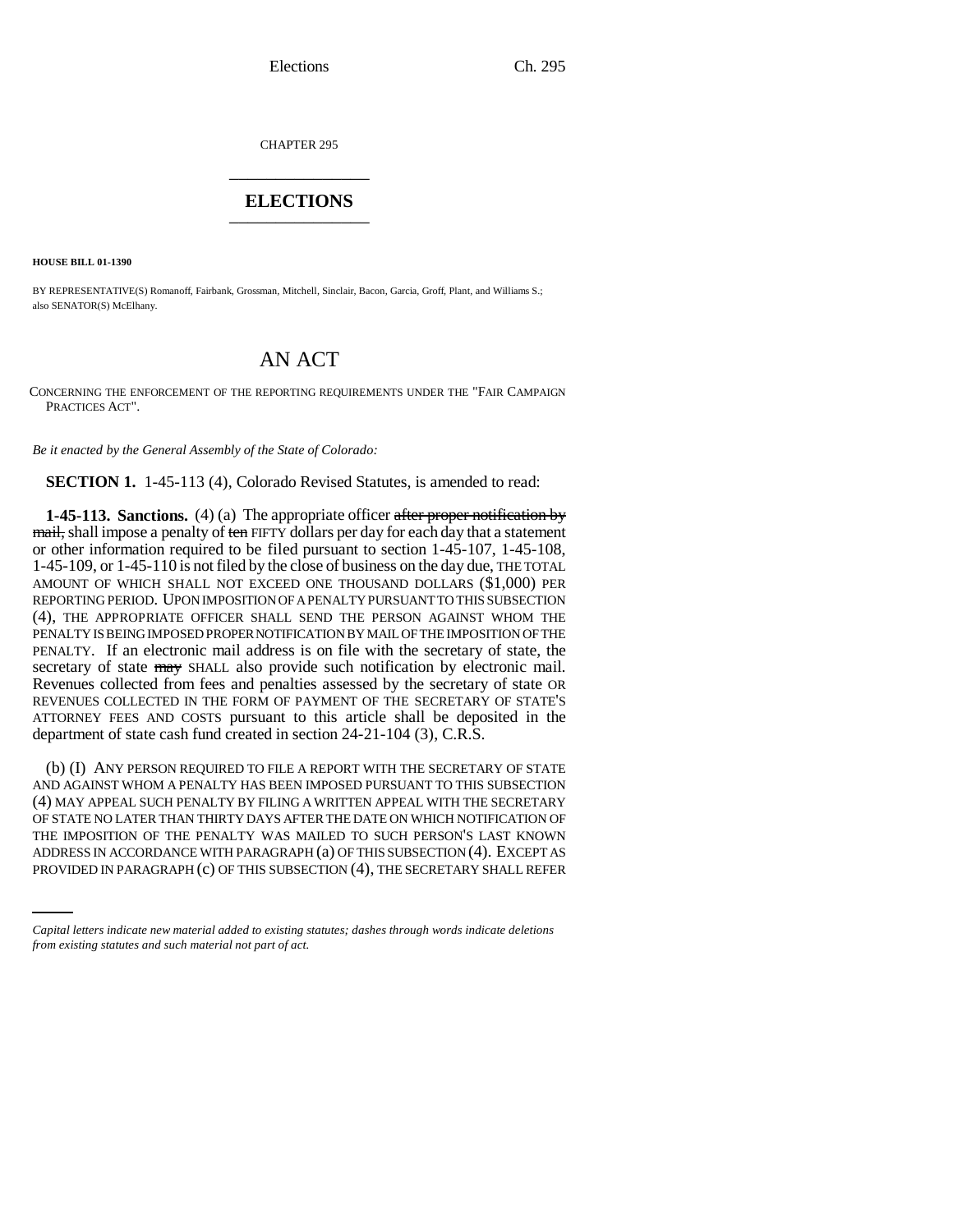CHAPTER 295 \_\_\_\_\_\_\_\_\_\_\_\_\_\_\_

## **ELECTIONS** \_\_\_\_\_\_\_\_\_\_\_\_\_\_\_

**HOUSE BILL 01-1390**

BY REPRESENTATIVE(S) Romanoff, Fairbank, Grossman, Mitchell, Sinclair, Bacon, Garcia, Groff, Plant, and Williams S.; also SENATOR(S) McElhany.

## AN ACT

CONCERNING THE ENFORCEMENT OF THE REPORTING REQUIREMENTS UNDER THE "FAIR CAMPAIGN PRACTICES ACT".

*Be it enacted by the General Assembly of the State of Colorado:*

**SECTION 1.** 1-45-113 (4), Colorado Revised Statutes, is amended to read:

**1-45-113. Sanctions.** (4) (a) The appropriate officer after proper notification by mail, shall impose a penalty of ten FIFTY dollars per day for each day that a statement or other information required to be filed pursuant to section 1-45-107, 1-45-108, 1-45-109, or 1-45-110 is not filed by the close of business on the day due, THE TOTAL AMOUNT OF WHICH SHALL NOT EXCEED ONE THOUSAND DOLLARS (\$1,000) PER REPORTING PERIOD. UPON IMPOSITION OF A PENALTY PURSUANT TO THIS SUBSECTION (4), THE APPROPRIATE OFFICER SHALL SEND THE PERSON AGAINST WHOM THE PENALTY IS BEING IMPOSED PROPER NOTIFICATION BY MAIL OF THE IMPOSITION OF THE PENALTY. If an electronic mail address is on file with the secretary of state, the secretary of state  $\frac{1}{2}$  SHALL also provide such notification by electronic mail. Revenues collected from fees and penalties assessed by the secretary of state OR REVENUES COLLECTED IN THE FORM OF PAYMENT OF THE SECRETARY OF STATE'S ATTORNEY FEES AND COSTS pursuant to this article shall be deposited in the department of state cash fund created in section 24-21-104 (3), C.R.S.

THE IMPOSITION OF THE PENALTY WAS MAILED TO SUCH PERSON'S LAST KNOWN (b) (I) ANY PERSON REQUIRED TO FILE A REPORT WITH THE SECRETARY OF STATE AND AGAINST WHOM A PENALTY HAS BEEN IMPOSED PURSUANT TO THIS SUBSECTION (4) MAY APPEAL SUCH PENALTY BY FILING A WRITTEN APPEAL WITH THE SECRETARY OF STATE NO LATER THAN THIRTY DAYS AFTER THE DATE ON WHICH NOTIFICATION OF ADDRESS IN ACCORDANCE WITH PARAGRAPH (a) OF THIS SUBSECTION (4). EXCEPT AS PROVIDED IN PARAGRAPH (c) OF THIS SUBSECTION (4), THE SECRETARY SHALL REFER

*Capital letters indicate new material added to existing statutes; dashes through words indicate deletions from existing statutes and such material not part of act.*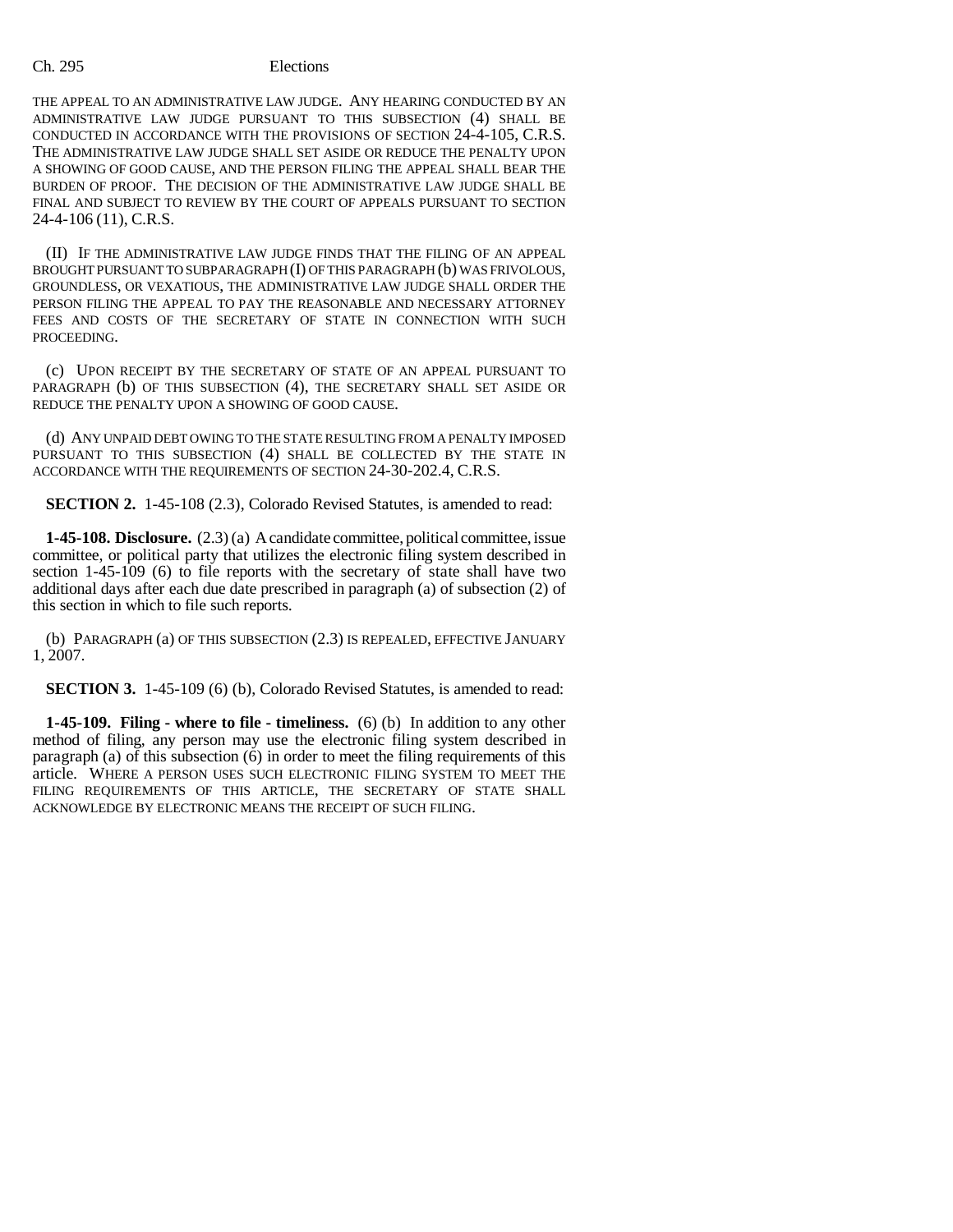## Ch. 295 Elections

THE APPEAL TO AN ADMINISTRATIVE LAW JUDGE. ANY HEARING CONDUCTED BY AN ADMINISTRATIVE LAW JUDGE PURSUANT TO THIS SUBSECTION (4) SHALL BE CONDUCTED IN ACCORDANCE WITH THE PROVISIONS OF SECTION 24-4-105, C.R.S. THE ADMINISTRATIVE LAW JUDGE SHALL SET ASIDE OR REDUCE THE PENALTY UPON A SHOWING OF GOOD CAUSE, AND THE PERSON FILING THE APPEAL SHALL BEAR THE BURDEN OF PROOF. THE DECISION OF THE ADMINISTRATIVE LAW JUDGE SHALL BE FINAL AND SUBJECT TO REVIEW BY THE COURT OF APPEALS PURSUANT TO SECTION 24-4-106 (11), C.R.S.

(II) IF THE ADMINISTRATIVE LAW JUDGE FINDS THAT THE FILING OF AN APPEAL BROUGHT PURSUANT TO SUBPARAGRAPH (I) OF THIS PARAGRAPH (b) WAS FRIVOLOUS, GROUNDLESS, OR VEXATIOUS, THE ADMINISTRATIVE LAW JUDGE SHALL ORDER THE PERSON FILING THE APPEAL TO PAY THE REASONABLE AND NECESSARY ATTORNEY FEES AND COSTS OF THE SECRETARY OF STATE IN CONNECTION WITH SUCH PROCEEDING.

(c) UPON RECEIPT BY THE SECRETARY OF STATE OF AN APPEAL PURSUANT TO PARAGRAPH (b) OF THIS SUBSECTION (4), THE SECRETARY SHALL SET ASIDE OR REDUCE THE PENALTY UPON A SHOWING OF GOOD CAUSE.

(d) ANY UNPAID DEBT OWING TO THE STATE RESULTING FROM A PENALTY IMPOSED PURSUANT TO THIS SUBSECTION (4) SHALL BE COLLECTED BY THE STATE IN ACCORDANCE WITH THE REQUIREMENTS OF SECTION 24-30-202.4, C.R.S.

**SECTION 2.** 1-45-108 (2.3), Colorado Revised Statutes, is amended to read:

**1-45-108. Disclosure.** (2.3) (a) A candidate committee, political committee, issue committee, or political party that utilizes the electronic filing system described in section 1-45-109 (6) to file reports with the secretary of state shall have two additional days after each due date prescribed in paragraph (a) of subsection (2) of this section in which to file such reports.

(b) PARAGRAPH (a) OF THIS SUBSECTION (2.3) IS REPEALED, EFFECTIVE JANUARY 1, 2007.

**SECTION 3.** 1-45-109 (6) (b), Colorado Revised Statutes, is amended to read:

**1-45-109. Filing - where to file - timeliness.** (6) (b) In addition to any other method of filing, any person may use the electronic filing system described in paragraph (a) of this subsection (6) in order to meet the filing requirements of this article. WHERE A PERSON USES SUCH ELECTRONIC FILING SYSTEM TO MEET THE FILING REQUIREMENTS OF THIS ARTICLE, THE SECRETARY OF STATE SHALL ACKNOWLEDGE BY ELECTRONIC MEANS THE RECEIPT OF SUCH FILING.